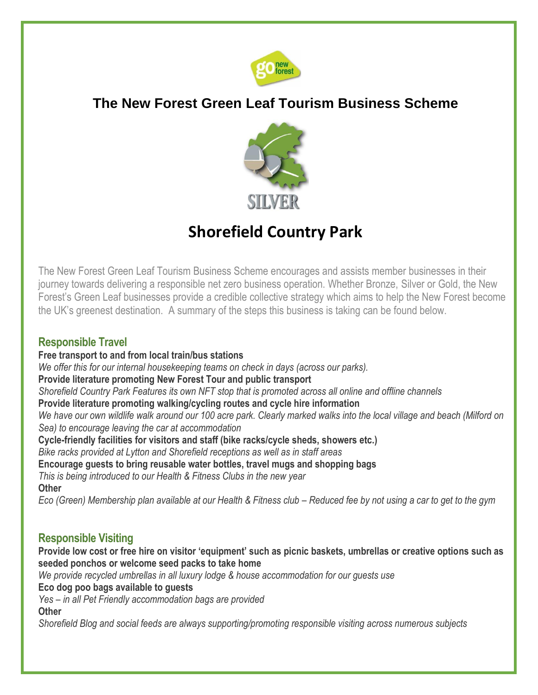

## **The New Forest Green Leaf Tourism Business Scheme**



# **Shorefield Country Park**

The New Forest Green Leaf Tourism Business Scheme encourages and assists member businesses in their journey towards delivering a responsible net zero business operation. Whether Bronze, Silver or Gold, the New Forest's Green Leaf businesses provide a credible collective strategy which aims to help the New Forest become the UK's greenest destination. A summary of the steps this business is taking can be found below.

### **Responsible Travel**

**Free transport to and from local train/bus stations** *We offer this for our internal housekeeping teams on check in days (across our parks).* **Provide literature promoting New Forest Tour and public transport**  *Shorefield Country Park Features its own NFT stop that is promoted across all online and offline channels* **Provide literature promoting walking/cycling routes and cycle hire information** *We have our own wildlife walk around our 100 acre park. Clearly marked walks into the local village and beach (Milford on Sea) to encourage leaving the car at accommodation* **Cycle-friendly facilities for visitors and staff (bike racks/cycle sheds, showers etc.)**  *Bike racks provided at Lytton and Shorefield receptions as well as in staff areas* **Encourage guests to bring reusable water bottles, travel mugs and shopping bags**  *This is being introduced to our Health & Fitness Clubs in the new year* **Other**  *Eco (Green) Membership plan available at our Health & Fitness club – Reduced fee by not using a car to get to the gym*

### **Responsible Visiting**

**Provide low cost or free hire on visitor 'equipment' such as picnic baskets, umbrellas or creative options such as seeded ponchos or welcome seed packs to take home**

*We provide recycled umbrellas in all luxury lodge & house accommodation for our guests use*

**Eco dog poo bags available to guests** 

*Yes – in all Pet Friendly accommodation bags are provided*

**Other** 

*Shorefield Blog and social feeds are always supporting/promoting responsible visiting across numerous subjects*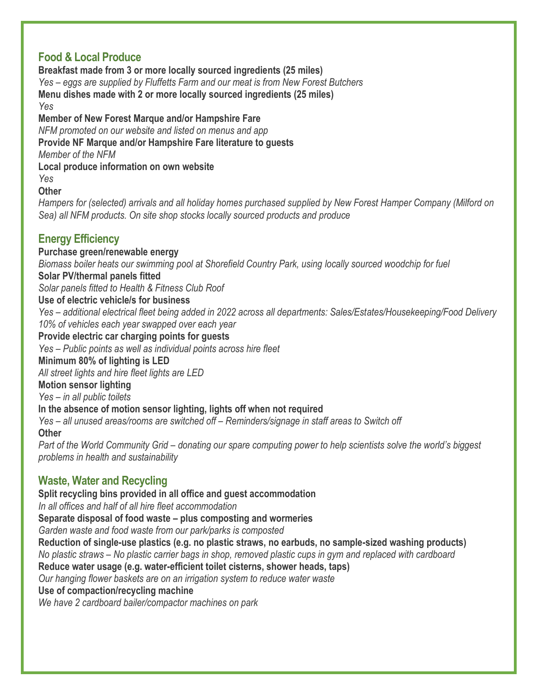### **Food & Local Produce**

**Breakfast made from 3 or more locally sourced ingredients (25 miles)**  *Yes – eggs are supplied by Fluffetts Farm and our meat is from New Forest Butchers* **Menu dishes made with 2 or more locally sourced ingredients (25 miles)**  *Yes*

#### **Member of New Forest Marque and/or Hampshire Fare**

*NFM promoted on our website and listed on menus and app*

**Provide NF Marque and/or Hampshire Fare literature to guests** 

*Member of the NFM*

#### **Local produce information on own website**

*Yes*

**Other** 

*Hampers for (selected) arrivals and all holiday homes purchased supplied by New Forest Hamper Company (Milford on Sea) all NFM products. On site shop stocks locally sourced products and produce*

### **Energy Efficiency**

#### **Purchase green/renewable energy**

*Biomass boiler heats our swimming pool at Shorefield Country Park, using locally sourced woodchip for fuel*

#### **Solar PV/thermal panels fitted**

*Solar panels fitted to Health & Fitness Club Roof*

#### **Use of electric vehicle/s for business**

*Yes – additional electrical fleet being added in 2022 across all departments: Sales/Estates/Housekeeping/Food Delivery 10% of vehicles each year swapped over each year*

#### **Provide electric car charging points for guests**

*Yes – Public points as well as individual points across hire fleet*

#### **Minimum 80% of lighting is LED**

*All street lights and hire fleet lights are LED*

#### **Motion sensor lighting**

*Yes – in all public toilets*

#### **In the absence of motion sensor lighting, lights off when not required**

*Yes – all unused areas/rooms are switched off – Reminders/signage in staff areas to Switch off* **Other** 

*Part of the World Community Grid – donating our spare computing power to help scientists solve the world's biggest problems in health and sustainability*

### **Waste, Water and Recycling**

**Split recycling bins provided in all office and guest accommodation**  *In all offices and half of all hire fleet accommodation* **Separate disposal of food waste – plus composting and wormeries** *Garden waste and food waste from our park/parks is composted* **Reduction of single-use plastics (e.g. no plastic straws, no earbuds, no sample-sized washing products)** *No plastic straws – No plastic carrier bags in shop, removed plastic cups in gym and replaced with cardboard* **Reduce water usage (e.g. water-efficient toilet cisterns, shower heads, taps)**  *Our hanging flower baskets are on an irrigation system to reduce water waste* **Use of compaction/recycling machine**  *We have 2 cardboard bailer/compactor machines on park*